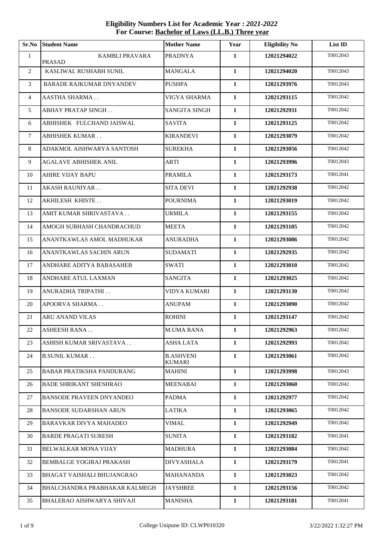**Sr.No Student Name Mother Name Year Eligibility No List ID** 1 KAMBLI PRAVARA PRASAD PRADNYA **1 12021294022** T0012043 2 KASLIWAL RUSHABH SUNIL MANGALA **1 12021294020** T0012043 3 BARADE RAJKUMAR DNYANDEV PUSHPA **1 12021293976** T0012043 AASTHA SHARMA . . VIGYA SHARMA **1 12021293115** T0012042 ABHAY PRATAP SINGH . . SANGITA SINGH **1 12021292931** T0012042 ABHISHEK FULCHAND JAISWAL SAVITA **1 12021293125** T0012042 ABHISHEK KUMAR . . KIRANDEVI **1 12021293079** T0012042 ADAKMOL AISHWARYA SANTOSH SUREKHA **1 12021293056** T0012042 AGALAVE ABHISHEK ANIL ARTI **1 12021293996** T0012043 AHIRE VIJAY BAPU PRAMILA **1 12021293173** T0012041 AKASH RAUNIYAR . . SITA DEVI **1 12021292938** T0012042 AKHILESH KHISTE . . POURNIMA **1 12021293019** T0012042 AMIT KUMAR SHRIVASTAVA . . URMILA **1 12021293155** T0012042 AMOGH SUBHASH CHANDRACHUD MEETA **1 12021293105** T0012042 ANANTKAWLAS AMOL MADHUKAR ANURADHA **1 12021293086** T0012042 ANANTKAWLAS SACHIN ARUN SUDAMATI **1 12021292935** T0012042 ANDHARE ADITYA BABASAHEB SWATI **1 12021293010** T0012042 ANDHARE ATUL LAXMAN SANGITA **1 12021293025** T0012042 ANURADHA TRIPATHI . . VIDYA KUMARI **1 12021293130** T0012042 APOORVA SHARMA . . ANUPAM **1 12021293090** T0012042 ARU ANAND VILAS ROHINI **1 12021293147** T0012042 ASHEESH RANA . . M.UMA RANA **1 12021292963** T0012042 ASHISH KUMAR SRIVASTAVA . . ASHA LATA **1 12021292993** T0012042 24 B.SUNIL KUMAR . . B.ASHVENI KUMARI **12021293061** T0012042 BABAR PRATIKSHA PANDURANG MAHINI **1 12021293998** T0012043 BADE SHRIKANT SHESHRAO MEENABAI **1 12021293060** T0012042 BANSODE PRAVEEN DNYANDEO PADMA **1 12021292977** T0012042 BANSODE SUDARSHAN ARUN LATIKA **1 12021293065** T0012042 BARAVKAR DIVYA MAHADEO VIMAL **1 12021292949** T0012042 BARDE PRAGATI SURESH SUNITA **1 12021293182** T0012041 BELWALKAR MONA VIJAY MADHURA **1 12021293084** T0012042 BEMBALGE YOGIRAJ PRAKASH DIVYASHALA **1 12021293179** T0012041 BHAGAT VAISHALI BHUJANGRAO MAHANANDA **1 12021293023** T0012042 BHALCHANDRA PRABHAKAR KALMEGH JAYSHREE **1 12021293156** T0012042 BHALERAO AISHWARYA SHIVAJI MANISHA **1 12021293181** T0012041

## **Eligibility Numbers List for Academic Year :** *2021-2022*  **For Course: Bachelor of Laws (LL.B.) Three year**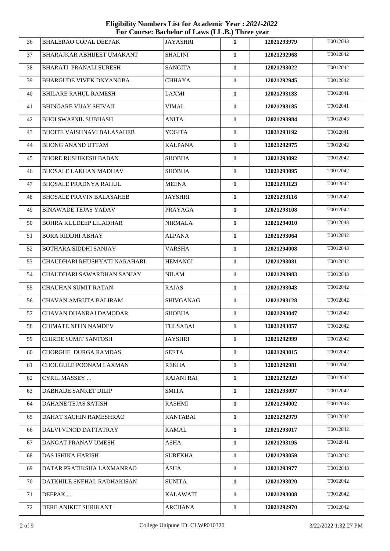**Eligibility Numbers List for Academic Year :** *2021-2022*  **For Course: Bachelor of Laws (LL.B.) Three year**

| 36 | <b>BHALERAO GOPAL DEEPAK</b>      | <b>JAYASHRI</b>   | $\mathbf{1}$ | 12021293979 | T0012043 |
|----|-----------------------------------|-------------------|--------------|-------------|----------|
| 37 | <b>BHARAJKAR ABHIJEET UMAKANT</b> | <b>SHALINI</b>    | $\mathbf{1}$ | 12021292968 | T0012042 |
| 38 | <b>BHARATI PRANALI SURESH</b>     | <b>SANGITA</b>    | $\mathbf{1}$ | 12021293022 | T0012042 |
| 39 | BHARGUDE VIVEK DNYANOBA           | <b>CHHAYA</b>     | $\mathbf{1}$ | 12021292945 | T0012042 |
| 40 | <b>BHILARE RAHUL RAMESH</b>       | <b>LAXMI</b>      | $\mathbf{1}$ | 12021293183 | T0012041 |
| 41 | <b>BHINGARE VIJAY SHIVAJI</b>     | VIMAL             | $\mathbf{1}$ | 12021293185 | T0012041 |
| 42 | <b>BHOI SWAPNIL SUBHASH</b>       | <b>ANITA</b>      | $\mathbf{1}$ | 12021293984 | T0012043 |
| 43 | <b>BHOITE VAISHNAVI BALASAHEB</b> | YOGITA            | $\mathbf{1}$ | 12021293192 | T0012041 |
| 44 | <b>BHONG ANAND UTTAM</b>          | <b>KALPANA</b>    | $\mathbf{1}$ | 12021292975 | T0012042 |
| 45 | <b>BHORE RUSHIKESH BABAN</b>      | <b>SHOBHA</b>     | $\mathbf{1}$ | 12021293092 | T0012042 |
| 46 | BHOSALE LAKHAN MADHAV             | <b>SHOBHA</b>     | $\mathbf{1}$ | 12021293095 | T0012042 |
| 47 | <b>BHOSALE PRADNYA RAHUL</b>      | <b>MEENA</b>      | $\mathbf{1}$ | 12021293123 | T0012042 |
| 48 | <b>BHOSALE PRAVIN BALASAHEB</b>   | <b>JAYSHRI</b>    | $\mathbf{1}$ | 12021293116 | T0012042 |
| 49 | <b>BINAWADE TEJAS YADAV</b>       | <b>PRAYAGA</b>    | $\mathbf{1}$ | 12021293108 | T0012042 |
| 50 | BOHRA KULDEEP LILADHAR            | <b>NIRMALA</b>    | $\mathbf{1}$ | 12021294010 | T0012043 |
| 51 | <b>BORA RIDDHI ABHAY</b>          | <b>ALPANA</b>     | $\mathbf{1}$ | 12021293064 | T0012042 |
| 52 | <b>BOTHARA SIDDHI SANJAY</b>      | VARSHA            | $\mathbf{1}$ | 12021294008 | T0012043 |
| 53 | CHAUDHARI RHUSHYATI NARAHARI      | <b>HEMANGI</b>    | $\mathbf{1}$ | 12021293081 | T0012042 |
| 54 | CHAUDHARI SAWARDHAN SANJAY        | <b>NILAM</b>      | $\mathbf{1}$ | 12021293983 | T0012043 |
| 55 | <b>CHAUHAN SUMIT RATAN</b>        | <b>RAJAS</b>      | $\mathbf{1}$ | 12021293043 | T0012042 |
| 56 | CHAVAN AMRUTA BALIRAM             | SHIVGANAG         | $\mathbf{1}$ | 12021293128 | T0012042 |
| 57 | CHAVAN DHANRAJ DAMODAR            | <b>SHOBHA</b>     | $\mathbf{1}$ | 12021293047 | T0012042 |
| 58 | <b>CHIMATE NITIN NAMDEV</b>       | <b>TULSABAI</b>   | $\mathbf{1}$ | 12021293057 | T0012042 |
| 59 | <b>CHIRDE SUMIT SANTOSH</b>       | <b>JAYSHRI</b>    | $\mathbf{1}$ | 12021292999 | T0012042 |
| 60 | CHORGHE DURGA RAMDAS              | <b>SEETA</b>      | $\mathbf{1}$ | 12021293015 | T0012042 |
| 61 | CHOUGULE POONAM LAXMAN            | <b>REKHA</b>      | 1            | 12021292981 | T0012042 |
| 62 | <b>CYRIL MASSEY</b>               | <b>RAJANI RAI</b> | 1            | 12021292929 | T0012042 |
| 63 | DABHADE SANKET DILIP              | <b>SMITA</b>      | $\mathbf{1}$ | 12021293097 | T0012042 |
| 64 | <b>DAHANE TEJAS SATISH</b>        | <b>RASHMI</b>     | $\mathbf{1}$ | 12021294002 | T0012043 |
| 65 | DAHAT SACHIN RAMESHRAO            | <b>KANTABAI</b>   | 1            | 12021292979 | T0012042 |
| 66 | DALVI VINOD DATTATRAY             | <b>KAMAL</b>      | $\mathbf{1}$ | 12021293017 | T0012042 |
| 67 | DANGAT PRANAV UMESH               | ASHA              | 1            | 12021293195 | T0012041 |
| 68 | <b>DAS ISHIKA HARISH</b>          | <b>SUREKHA</b>    | $\mathbf{1}$ | 12021293059 | T0012042 |
| 69 | DATAR PRATIKSHA LAXMANRAO         | <b>ASHA</b>       | 1            | 12021293977 | T0012043 |
| 70 | DATKHILE SNEHAL RADHAKISAN        | <b>SUNITA</b>     | $\mathbf{1}$ | 12021293020 | T0012042 |
| 71 | DEEPAK                            | <b>KALAWATI</b>   | $\mathbf{1}$ | 12021293008 | T0012042 |
| 72 | DERE ANIKET SHRIKANT              | <b>ARCHANA</b>    | 1            | 12021292970 | T0012042 |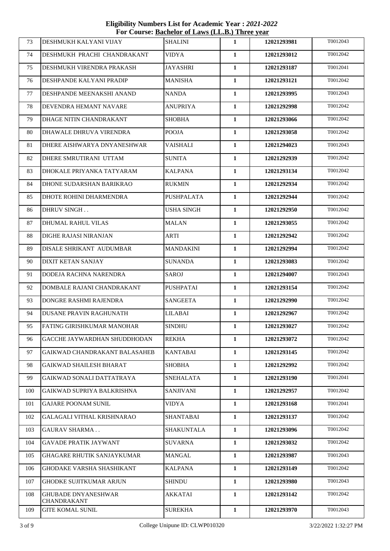**Eligibility Numbers List for Academic Year :** *2021-2022*  **For Course: Bachelor of Laws (LL.B.) Three year**

| 73  | DESHMUKH KALYANI VIJAY                    | <b>SHALINI</b>    | 1            | 12021293981 | T0012043 |
|-----|-------------------------------------------|-------------------|--------------|-------------|----------|
| 74  | DESHMUKH PRACHI CHANDRAKANT               | VIDYA             | $\mathbf{1}$ | 12021293012 | T0012042 |
| 75  | DESHMUKH VIRENDRA PRAKASH                 | <b>JAYASHRI</b>   | $\mathbf{1}$ | 12021293187 | T0012041 |
| 76  | DESHPANDE KALYANI PRADIP                  | <b>MANISHA</b>    | $\mathbf{1}$ | 12021293121 | T0012042 |
| 77  | DESHPANDE MEENAKSHI ANAND                 | <b>NANDA</b>      | $\mathbf{1}$ | 12021293995 | T0012043 |
| 78  | DEVENDRA HEMANT NAVARE                    | <b>ANUPRIYA</b>   | $\mathbf{1}$ | 12021292998 | T0012042 |
| 79  | DHAGE NITIN CHANDRAKANT                   | <b>SHOBHA</b>     | $\mathbf{1}$ | 12021293066 | T0012042 |
| 80  | DHAWALE DHRUVA VIRENDRA                   | <b>POOJA</b>      | $\mathbf{1}$ | 12021293058 | T0012042 |
| 81  | DHERE AISHWARYA DNYANESHWAR               | <b>VAISHALI</b>   | $\mathbf{1}$ | 12021294023 | T0012043 |
| 82  | DHERE SMRUTIRANI UTTAM                    | <b>SUNITA</b>     | $\mathbf{1}$ | 12021292939 | T0012042 |
| 83  | DHOKALE PRIYANKA TATYARAM                 | <b>KALPANA</b>    | $\mathbf{1}$ | 12021293134 | T0012042 |
| 84  | DHONE SUDARSHAN BARIKRAO                  | <b>RUKMIN</b>     | $\mathbf{1}$ | 12021292934 | T0012042 |
| 85  | DHOTE ROHINI DHARMENDRA                   | <b>PUSHPALATA</b> | $\mathbf{1}$ | 12021292944 | T0012042 |
| 86  | DHRUV SINGH                               | <b>USHA SINGH</b> | $\mathbf{1}$ | 12021292950 | T0012042 |
| 87  | DHUMAL RAHUL VILAS                        | <b>MALAN</b>      | $\mathbf{1}$ | 12021293055 | T0012042 |
| 88  | DIGHE RAJASI NIRANJAN                     | <b>ARTI</b>       | $\mathbf{1}$ | 12021292942 | T0012042 |
| 89  | DISALE SHRIKANT AUDUMBAR                  | <b>MANDAKINI</b>  | $\mathbf{1}$ | 12021292994 | T0012042 |
| 90  | DIXIT KETAN SANJAY                        | <b>SUNANDA</b>    | $\mathbf{1}$ | 12021293083 | T0012042 |
| 91  | DODEJA RACHNA NARENDRA                    | SAROJ             | $\mathbf{1}$ | 12021294007 | T0012043 |
| 92  | DOMBALE RAJANI CHANDRAKANT                | <b>PUSHPATAI</b>  | $\mathbf{1}$ | 12021293154 | T0012042 |
| 93  | DONGRE RASHMI RAJENDRA                    | <b>SANGEETA</b>   | $\mathbf{1}$ | 12021292990 | T0012042 |
| 94  | DUSANE PRAVIN RAGHUNATH                   | <b>LILABAI</b>    | $\mathbf{1}$ | 12021292967 | T0012042 |
| 95  | FATING GIRISHKUMAR MANOHAR                | <b>SINDHU</b>     | 1            | 12021293027 | T0012042 |
| 96  | GACCHE JAYWARDHAN SHUDDHODAN              | <b>REKHA</b>      | 1            | 12021293072 | T0012042 |
| 97  | GAIKWAD CHANDRAKANT BALASAHEB             | <b>KANTABAI</b>   | 1            | 12021293145 | T0012042 |
| 98  | <b>GAIKWAD SHAILESH BHARAT</b>            | <b>SHOBHA</b>     | 1            | 12021292992 | T0012042 |
| 99  | GAIKWAD SONALI DATTATRAYA                 | <b>SNEHALATA</b>  | 1            | 12021293190 | T0012041 |
| 100 | GAIKWAD SUPRIYA BALKRISHNA                | <b>SANJIVANI</b>  | $\mathbf{1}$ | 12021292957 | T0012042 |
| 101 | <b>GAJARE POONAM SUNIL</b>                | <b>VIDYA</b>      | $\mathbf{1}$ | 12021293168 | T0012041 |
| 102 | GALAGALI VITHAL KRISHNARAO                | SHANTABAI         | 1            | 12021293137 | T0012042 |
| 103 | <b>GAURAV SHARMA</b>                      | <b>SHAKUNTALA</b> | $\mathbf{1}$ | 12021293096 | T0012042 |
| 104 | <b>GAVADE PRATIK JAYWANT</b>              | <b>SUVARNA</b>    | $\mathbf{1}$ | 12021293032 | T0012042 |
| 105 | <b>GHAGARE RHUTIK SANJAYKUMAR</b>         | <b>MANGAL</b>     | $\mathbf{1}$ | 12021293987 | T0012043 |
| 106 | <b>GHODAKE VARSHA SHASHIKANT</b>          | <b>KALPANA</b>    | $\mathbf{1}$ | 12021293149 | T0012042 |
| 107 | GHODKE SUJITKUMAR ARJUN                   | SHINDU            | 1            | 12021293980 | T0012043 |
| 108 | <b>GHUBADE DNYANESHWAR</b><br>CHANDRAKANT | AKKATAI           | 1            | 12021293142 | T0012042 |
| 109 | <b>GITE KOMAL SUNIL</b>                   | <b>SUREKHA</b>    | $\mathbf{1}$ | 12021293970 | T0012043 |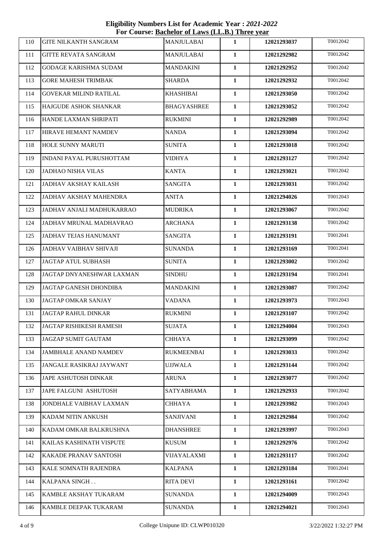**Eligibility Numbers List for Academic Year :** *2021-2022*  **For Course: Bachelor of Laws (LL.B.) Three year**

| 110 | <b>GITE NILKANTH SANGRAM</b>   | <b>MANJULABAI</b>  | 1            | 12021293037 | T0012042 |
|-----|--------------------------------|--------------------|--------------|-------------|----------|
| 111 | <b>GITTE REVATA SANGRAM</b>    | <b>MANJULABAI</b>  | $\mathbf{1}$ | 12021292982 | T0012042 |
| 112 | GODAGE KARISHMA SUDAM          | <b>MANDAKINI</b>   | $\mathbf{1}$ | 12021292952 | T0012042 |
| 113 | <b>GORE MAHESH TRIMBAK</b>     | <b>SHARDA</b>      | $\mathbf{1}$ | 12021292932 | T0012042 |
| 114 | <b>GOVEKAR MILIND RATILAL</b>  | <b>KHASHIBAI</b>   | $\mathbf{1}$ | 12021293050 | T0012042 |
| 115 | <b>HAJGUDE ASHOK SHANKAR</b>   | <b>BHAGYASHREE</b> | 1            | 12021293052 | T0012042 |
| 116 | HANDE LAXMAN SHRIPATI          | <b>RUKMINI</b>     | $\mathbf{1}$ | 12021292989 | T0012042 |
| 117 | HIRAVE HEMANT NAMDEV           | <b>NANDA</b>       | $\mathbf{1}$ | 12021293094 | T0012042 |
| 118 | HOLE SUNNY MARUTI              | <b>SUNITA</b>      | $\mathbf{1}$ | 12021293018 | T0012042 |
| 119 | INDANI PAYAL PURUSHOTTAM       | <b>VIDHYA</b>      | $\mathbf{1}$ | 12021293127 | T0012042 |
| 120 | <b>JADHAO NISHA VILAS</b>      | <b>KANTA</b>       | $\mathbf{1}$ | 12021293021 | T0012042 |
| 121 | JADHAV AKSHAY KAILASH          | <b>SANGITA</b>     | $\mathbf{1}$ | 12021293031 | T0012042 |
| 122 | <b>JADHAV AKSHAY MAHENDRA</b>  | <b>ANITA</b>       | 1            | 12021294026 | T0012043 |
| 123 | JADHAV ANJALI MADHUKARRAO      | <b>MUDRIKA</b>     | $\mathbf{1}$ | 12021293067 | T0012042 |
| 124 | JADHAV MRUNAL MADHAVRAO        | <b>ARCHANA</b>     | $\mathbf{1}$ | 12021293138 | T0012042 |
| 125 | <b>JADHAV TEJAS HANUMANT</b>   | <b>SANGITA</b>     | $\mathbf{1}$ | 12021293191 | T0012041 |
| 126 | <b>JADHAV VAIBHAV SHIVAJI</b>  | <b>SUNANDA</b>     | $\mathbf{1}$ | 12021293169 | T0012041 |
| 127 | JAGTAP ATUL SUBHASH            | <b>SUNITA</b>      | $\mathbf{1}$ | 12021293002 | T0012042 |
| 128 | JAGTAP DNYANESHWAR LAXMAN      | <b>SINDHU</b>      | $\mathbf{1}$ | 12021293194 | T0012041 |
| 129 | JAGTAP GANESH DHONDIBA         | <b>MANDAKINI</b>   | $\mathbf{1}$ | 12021293087 | T0012042 |
| 130 | JAGTAP OMKAR SANJAY            | VADANA             | $\mathbf{1}$ | 12021293973 | T0012043 |
| 131 | JAGTAP RAHUL DINKAR            | <b>RUKMINI</b>     | $\mathbf{1}$ | 12021293107 | T0012042 |
| 132 | JAGTAP RISHIKESH RAMESH        | <b>SUJATA</b>      | 1            | 12021294004 | T0012043 |
| 133 | <b>JAGZAP SUMIT GAUTAM</b>     | CHHAYA             | 1            | 12021293099 | T0012042 |
| 134 | <b>JAMBHALE ANAND NAMDEV</b>   | <b>RUKMEENBAI</b>  | $\mathbf{1}$ | 12021293033 | T0012042 |
| 135 | JANGALE RASIKRAJ JAYWANT       | <b>UJJWALA</b>     | 1            | 12021293144 | T0012042 |
| 136 | <b>JAPE ASHUTOSH DINKAR</b>    | <b>ARUNA</b>       | 1            | 12021293077 | T0012042 |
| 137 | JAPE FALGUNI ASHUTOSH          | <b>SATYABHAMA</b>  | 1            | 12021292933 | T0012042 |
| 138 | <b>JONDHALE VAIBHAV LAXMAN</b> | CHHAYA             | $\mathbf{1}$ | 12021293982 | T0012043 |
| 139 | KADAM NITIN ANKUSH             | SANJIVANI          | 1            | 12021292984 | T0012042 |
| 140 | KADAM OMKAR BALKRUSHNA         | <b>DHANSHREE</b>   | 1            | 12021293997 | T0012043 |
| 141 | KAILAS KASHINATH VISPUTE       | <b>KUSUM</b>       | $\mathbf{1}$ | 12021292976 | T0012042 |
| 142 | KAKADE PRANAV SANTOSH          | VIJAYALAXMI        | 1            | 12021293117 | T0012042 |
| 143 | KALE SOMNATH RAJENDRA          | <b>KALPANA</b>     | 1            | 12021293184 | T0012041 |
| 144 | KALPANA SINGH                  | RITA DEVI          | $\mathbf{1}$ | 12021293161 | T0012042 |
| 145 | KAMBLE AKSHAY TUKARAM          | <b>SUNANDA</b>     | 1            | 12021294009 | T0012043 |
| 146 | KAMBLE DEEPAK TUKARAM          | <b>SUNANDA</b>     | 1            | 12021294021 | T0012043 |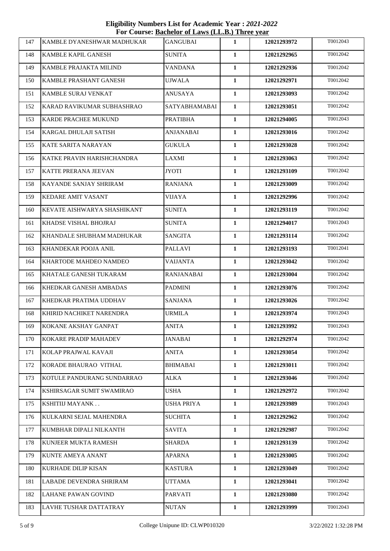**Eligibility Numbers List for Academic Year :** *2021-2022*  **For Course: Bachelor of Laws (LL.B.) Three year**

| 147 | KAMBLE DYANESHWAR MADHUKAR  | <b>GANGUBAI</b>   | 1            | 12021293972 | T0012043 |
|-----|-----------------------------|-------------------|--------------|-------------|----------|
| 148 | KAMBLE KAPIL GANESH         | <b>SUNITA</b>     | 1            | 12021292965 | T0012042 |
| 149 | KAMBLE PRAJAKTA MILIND      | VANDANA           | 1            | 12021292936 | T0012042 |
| 150 | KAMBLE PRASHANT GANESH      | <b>UJWALA</b>     | $\mathbf{1}$ | 12021292971 | T0012042 |
| 151 | KAMBLE SURAJ VENKAT         | <b>ANUSAYA</b>    | $\mathbf{1}$ | 12021293093 | T0012042 |
| 152 | KARAD RAVIKUMAR SUBHASHRAO  | SATYABHAMABAI     | 1            | 12021293051 | T0012042 |
| 153 | KARDE PRACHEE MUKUND        | <b>PRATIBHA</b>   | $\mathbf{1}$ | 12021294005 | T0012043 |
| 154 | KARGAL DHULAJI SATISH       | <b>ANJANABAI</b>  | $\mathbf{1}$ | 12021293016 | T0012042 |
| 155 | KATE SARITA NARAYAN         | <b>GUKULA</b>     | $\mathbf{1}$ | 12021293028 | T0012042 |
| 156 | KATKE PRAVIN HARISHCHANDRA  | <b>LAXMI</b>      | $\mathbf{1}$ | 12021293063 | T0012042 |
| 157 | KATTE PRERANA JEEVAN        | <b>JYOTI</b>      | $\mathbf{1}$ | 12021293109 | T0012042 |
| 158 | KAYANDE SANJAY SHRIRAM      | <b>RANJANA</b>    | $\mathbf{1}$ | 12021293009 | T0012042 |
| 159 | <b>KEDARE AMIT VASANT</b>   | <b>VIJAYA</b>     | 1            | 12021292996 | T0012042 |
| 160 | KEVATE AISHWARYA SHASHIKANT | <b>SUNITA</b>     | $\mathbf{1}$ | 12021293119 | T0012042 |
| 161 | KHADSE VISHAL BHOJRAJ       | <b>SUNITA</b>     | $\mathbf{1}$ | 12021294017 | T0012043 |
| 162 | KHANDALE SHUBHAM MADHUKAR   | <b>SANGITA</b>    | $\mathbf{1}$ | 12021293114 | T0012042 |
| 163 | KHANDEKAR POOJA ANIL        | <b>PALLAVI</b>    | $\mathbf{1}$ | 12021293193 | T0012041 |
| 164 | KHARTODE MAHDEO NAMDEO      | <b>VAIJANTA</b>   | $\mathbf{1}$ | 12021293042 | T0012042 |
| 165 | KHATALE GANESH TUKARAM      | <b>RANJANABAI</b> | $\mathbf{1}$ | 12021293004 | T0012042 |
| 166 | KHEDKAR GANESH AMBADAS      | <b>PADMINI</b>    | $\mathbf{1}$ | 12021293076 | T0012042 |
| 167 | KHEDKAR PRATIMA UDDHAV      | <b>SANJANA</b>    | $\mathbf{1}$ | 12021293026 | T0012042 |
| 168 | KHIRID NACHIKET NARENDRA    | <b>URMILA</b>     | $\mathbf{1}$ | 12021293974 | T0012043 |
| 169 | KOKANE AKSHAY GANPAT        | ANITA             | 1            | 12021293992 | T0012043 |
| 170 | KOKARE PRADIP MAHADEV       | JANABAI           | 1            | 12021292974 | T0012042 |
| 171 | KOLAP PRAJWAL KAVAJI        | <b>ANITA</b>      | $\mathbf{1}$ | 12021293054 | T0012042 |
| 172 | KORADE BHAURAO VITHAL       | <b>BHIMABAI</b>   | 1            | 12021293011 | T0012042 |
| 173 | KOTULE PANDURANG SUNDARRAO  | <b>ALKA</b>       | 1            | 12021293046 | T0012042 |
| 174 | KSHIRSAGAR SUMIT SWAMIRAO   | <b>USHA</b>       | $\mathbf{1}$ | 12021292972 | T0012042 |
| 175 | KSHITIIJ MAYANK             | <b>USHA PRIYA</b> | $\mathbf{1}$ | 12021293989 | T0012043 |
| 176 | KULKARNI SEJAL MAHENDRA     | <b>SUCHITA</b>    | 1            | 12021292962 | T0012042 |
| 177 | KUMBHAR DIPALI NILKANTH     | <b>SAVITA</b>     | $\mathbf{1}$ | 12021292987 | T0012042 |
| 178 | KUNJEER MUKTA RAMESH        | <b>SHARDA</b>     | $\mathbf{1}$ | 12021293139 | T0012042 |
| 179 | KUNTE AMEYA ANANT           | <b>APARNA</b>     | $\mathbf{1}$ | 12021293005 | T0012042 |
| 180 | <b>KURHADE DILIP KISAN</b>  | <b>KASTURA</b>    | $\mathbf{1}$ | 12021293049 | T0012042 |
| 181 | LABADE DEVENDRA SHRIRAM     | UTTAMA            | 1            | 12021293041 | T0012042 |
| 182 | LAHANE PAWAN GOVIND         | <b>PARVATI</b>    | 1            | 12021293080 | T0012042 |
| 183 | LAVHE TUSHAR DATTATRAY      | <b>NUTAN</b>      | 1            | 12021293999 | T0012043 |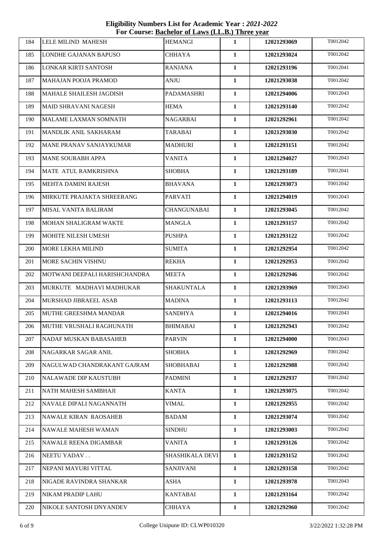**Eligibility Numbers List for Academic Year :** *2021-2022*  **For Course: Bachelor of Laws (LL.B.) Three year**

| 184 | LELE MILIND MAHESH             | <b>HEMANGI</b>     | 1            | 12021293069 | T0012042 |
|-----|--------------------------------|--------------------|--------------|-------------|----------|
| 185 | LONDHE GAJANAN BAPUSO          | <b>CHHAYA</b>      | $\mathbf{1}$ | 12021293024 | T0012042 |
| 186 | LONKAR KIRTI SANTOSH           | <b>RANJANA</b>     | $\mathbf{1}$ | 12021293196 | T0012041 |
| 187 | MAHAJAN POOJA PRAMOD           | <b>ANJU</b>        | $\mathbf{1}$ | 12021293038 | T0012042 |
| 188 | MAHALE SHAILESH JAGDISH        | PADAMASHRI         | $\mathbf{1}$ | 12021294006 | T0012043 |
| 189 | <b>MAID SHRAVANI NAGESH</b>    | <b>HEMA</b>        | 1            | 12021293140 | T0012042 |
| 190 | MALAME LAXMAN SOMNATH          | <b>NAGARBAI</b>    | $\mathbf{1}$ | 12021292961 | T0012042 |
| 191 | MANDLIK ANIL SAKHARAM          | <b>TARABAI</b>     | $\mathbf{1}$ | 12021293030 | T0012042 |
| 192 | <b>MANE PRANAV SANJAYKUMAR</b> | <b>MADHURI</b>     | $\mathbf{1}$ | 12021293151 | T0012042 |
| 193 | <b>MANE SOURABH APPA</b>       | <b>VANITA</b>      | $\mathbf{1}$ | 12021294027 | T0012043 |
| 194 | MATE ATUL RAMKRISHNA           | <b>SHOBHA</b>      | $\mathbf{1}$ | 12021293189 | T0012041 |
| 195 | MEHTA DAMINI RAJESH            | <b>BHAVANA</b>     | $\mathbf{1}$ | 12021293073 | T0012042 |
| 196 | MIRKUTE PRAJAKTA SHREERANG     | <b>PARVATI</b>     | 1            | 12021294019 | T0012043 |
| 197 | MISAL VANITA BALIRAM           | <b>CHANGUNABAI</b> | $\mathbf{1}$ | 12021293045 | T0012042 |
| 198 | MOHAN SHALIGRAM WAKTE          | <b>MANGLA</b>      | $\mathbf{1}$ | 12021293157 | T0012042 |
| 199 | MOHITE NILESH UMESH            | <b>PUSHPA</b>      | $\mathbf{1}$ | 12021293122 | T0012042 |
| 200 | MORE LEKHA MILIND              | <b>SUMITA</b>      | $\mathbf{1}$ | 12021292954 | T0012042 |
| 201 | MORE SACHIN VISHNU             | <b>REKHA</b>       | $\mathbf{1}$ | 12021292953 | T0012042 |
| 202 | MOTWANI DEEPALI HARISHCHANDRA  | MEETA              | $\mathbf{1}$ | 12021292946 | T0012042 |
| 203 | MURKUTE MADHAVI MADHUKAR       | <b>SHAKUNTALA</b>  | $\mathbf{1}$ | 12021293969 | T0012043 |
| 204 | MURSHAD JIBRAEEL ASAB          | <b>MADINA</b>      | $\mathbf{1}$ | 12021293113 | T0012042 |
| 205 | MUTHE GREESHMA MANDAR          | <b>SANDHYA</b>     | $\mathbf{1}$ | 12021294016 | T0012043 |
| 206 | MUTHE VRUSHALI RAGHUNATH       | <b>BHIMABAI</b>    | 1            | 12021292943 | T0012042 |
| 207 | NADAF MUSKAN BABASAHEB         | <b>PARVIN</b>      | 1            | 12021294000 | T0012043 |
| 208 | NAGARKAR SAGAR ANIL            | <b>SHOBHA</b>      | 1            | 12021292969 | T0012042 |
| 209 | NAGULWAD CHANDRAKANT GAJRAM    | <b>SHOBHABAI</b>   | 1            | 12021292988 | T0012042 |
| 210 | <b>NALAWADE DIP KAUSTUBH</b>   | <b>PADMINI</b>     | 1            | 12021292937 | T0012042 |
| 211 | NATH MAHESH SAMBHAJI           | <b>KANTA</b>       | 1            | 12021293075 | T0012042 |
| 212 | NAVALE DIPALI NAGANNATH        | <b>VIMAL</b>       | $\mathbf{1}$ | 12021292955 | T0012042 |
| 213 | <b>NAWALE KIRAN RAOSAHEB</b>   | BADAM              | 1            | 12021293074 | T0012042 |
| 214 | <b>NAWALE MAHESH WAMAN</b>     | <b>SINDHU</b>      | 1            | 12021293003 | T0012042 |
| 215 | <b>NAWALE REENA DIGAMBAR</b>   | <b>VANITA</b>      | $\mathbf{1}$ | 12021293126 | T0012042 |
| 216 | NEETU YADAV                    | SHASHIKALA DEVI    | 1            | 12021293152 | T0012042 |
| 217 | NEPANI MAYURI VITTAL           | <b>SANJIVANI</b>   | $\mathbf{1}$ | 12021293158 | T0012042 |
| 218 | NIGADE RAVINDRA SHANKAR        | ASHA               | 1            | 12021293978 | T0012043 |
| 219 | NIKAM PRADIP LAHU              | <b>KANTABAI</b>    | 1            | 12021293164 | T0012042 |
| 220 | NIKOLE SANTOSH DNYANDEV        | <b>CHHAYA</b>      | 1            | 12021292960 | T0012042 |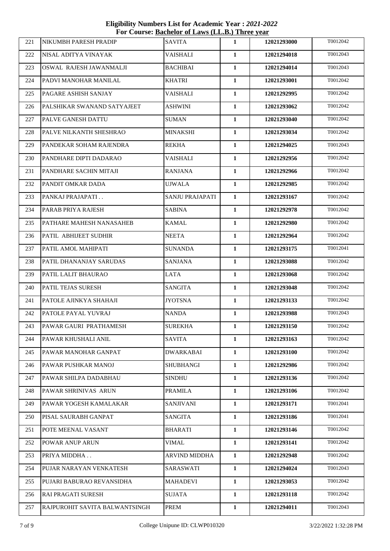**Eligibility Numbers List for Academic Year :** *2021-2022*  **For Course: Bachelor of Laws (LL.B.) Three year**

| 221 | NIKUMBH PARESH PRADIP          | <b>SAVITA</b>          | 1            | 12021293000 | T0012042 |
|-----|--------------------------------|------------------------|--------------|-------------|----------|
| 222 | NISAL ADITYA VINAYAK           | <b>VAISHALI</b>        | $\mathbf{1}$ | 12021294018 | T0012043 |
| 223 | OSWAL RAJESH JAWANMALJI        | <b>BACHIBAI</b>        | $\mathbf{1}$ | 12021294014 | T0012043 |
| 224 | PADVI MANOHAR MANILAL          | <b>KHATRI</b>          | $\mathbf{1}$ | 12021293001 | T0012042 |
| 225 | PAGARE ASHISH SANJAY           | <b>VAISHALI</b>        | $\mathbf{1}$ | 12021292995 | T0012042 |
| 226 | PALSHIKAR SWANAND SATYAJEET    | ASHWINI                | 1            | 12021293062 | T0012042 |
| 227 | PALVE GANESH DATTU             | <b>SUMAN</b>           | $\mathbf{1}$ | 12021293040 | T0012042 |
| 228 | PALVE NILKANTH SHESHRAO        | <b>MINAKSHI</b>        | $\mathbf{1}$ | 12021293034 | T0012042 |
| 229 | PANDEKAR SOHAM RAJENDRA        | <b>REKHA</b>           | $\mathbf{1}$ | 12021294025 | T0012043 |
| 230 | PANDHARE DIPTI DADARAO         | <b>VAISHALI</b>        | $\mathbf{1}$ | 12021292956 | T0012042 |
| 231 | PANDHARE SACHIN MITAJI         | RANJANA                | 1            | 12021292966 | T0012042 |
| 232 | PANDIT OMKAR DADA              | <b>UJWALA</b>          | $\mathbf{1}$ | 12021292985 | T0012042 |
| 233 | PANKAJ PRAJAPATI               | <b>SANJU PRAJAPATI</b> | 1            | 12021293167 | T0012042 |
| 234 | PARAB PRIYA RAJESH             | <b>SABINA</b>          | $\mathbf{1}$ | 12021292978 | T0012042 |
| 235 | PATHARE MAHESH NANASAHEB       | <b>KAMAL</b>           | $\mathbf{1}$ | 12021292980 | T0012042 |
| 236 | PATIL ABHIJEET SUDHIR          | <b>NEETA</b>           | 1            | 12021292964 | T0012042 |
| 237 | PATIL AMOL MAHIPATI            | SUNANDA                | 1            | 12021293175 | T0012041 |
| 238 | PATIL DHANANJAY SARUDAS        | SANJANA                | $\mathbf{1}$ | 12021293088 | T0012042 |
| 239 | PATIL LALIT BHAURAO            | LATA                   | $\mathbf{1}$ | 12021293068 | T0012042 |
| 240 | PATIL TEJAS SURESH             | <b>SANGITA</b>         | 1            | 12021293048 | T0012042 |
| 241 | PATOLE AJINKYA SHAHAJI         | <b>JYOTSNA</b>         | $\mathbf{1}$ | 12021293133 | T0012042 |
| 242 | PATOLE PAYAL YUVRAJ            | <b>NANDA</b>           | $\mathbf{1}$ | 12021293988 | T0012043 |
| 243 | PAWAR GAURI PRATHAMESH         | <b>SUREKHA</b>         | 1            | 12021293150 | T0012042 |
| 244 | PAWAR KHUSHALI ANIL            | <b>SAVITA</b>          | 1            | 12021293163 | T0012042 |
| 245 | PAWAR MANOHAR GANPAT           | <b>DWARKABAI</b>       | $\mathbf{1}$ | 12021293100 | T0012042 |
| 246 | PAWAR PUSHKAR MANOJ            | <b>SHUBHANGI</b>       | $\mathbf{1}$ | 12021292986 | T0012042 |
| 247 | PAWAR SHILPA DADABHAU          | <b>SINDHU</b>          | 1            | 12021293136 | T0012042 |
| 248 | PAWAR SHRINIVAS ARUN           | <b>PRAMILA</b>         | 1            | 12021293106 | T0012042 |
| 249 | PAWAR YOGESH KAMALAKAR         | <b>SANJIVANI</b>       | 1            | 12021293171 | T0012041 |
| 250 | PISAL SAURABH GANPAT           | <b>SANGITA</b>         | 1            | 12021293186 | T0012041 |
| 251 | POTE MEENAL VASANT             | <b>BHARATI</b>         | $\mathbf{1}$ | 12021293146 | T0012042 |
| 252 | POWAR ANUP ARUN                | <b>VIMAL</b>           | $\mathbf{1}$ | 12021293141 | T0012042 |
| 253 | PRIYA MIDDHA                   | <b>ARVIND MIDDHA</b>   | 1            | 12021292948 | T0012042 |
| 254 | PUJAR NARAYAN VENKATESH        | SARASWATI              | 1            | 12021294024 | T0012043 |
| 255 | PUJARI BABURAO REVANSIDHA      | <b>MAHADEVI</b>        | 1            | 12021293053 | T0012042 |
| 256 | <b>RAI PRAGATI SURESH</b>      | <b>SUJATA</b>          | $\mathbf{1}$ | 12021293118 | T0012042 |
| 257 | RAJPUROHIT SAVITA BALWANTSINGH | <b>PREM</b>            | $\mathbf{1}$ | 12021294011 | T0012043 |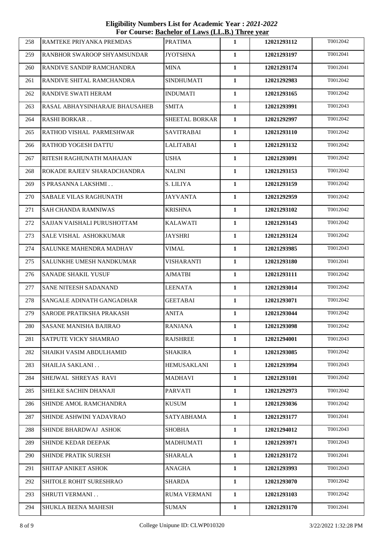**Eligibility Numbers List for Academic Year :** *2021-2022*  **For Course: Bachelor of Laws (LL.B.) Three year**

| 258 | RAMTEKE PRIYANKA PREMDAS       | <b>PRATIMA</b>      | 1            | 12021293112 | T0012042 |
|-----|--------------------------------|---------------------|--------------|-------------|----------|
| 259 | RANBHOR SWAROOP SHYAMSUNDAR    | <b>JYOTSHNA</b>     | $\mathbf{1}$ | 12021293197 | T0012041 |
| 260 | RANDIVE SANDIP RAMCHANDRA      | <b>MINA</b>         | $\mathbf{1}$ | 12021293174 | T0012041 |
| 261 | RANDIVE SHITAL RAMCHANDRA      | <b>SINDHUMATI</b>   | $\mathbf{1}$ | 12021292983 | T0012042 |
| 262 | RANDIVE SWATI HERAM            | <b>INDUMATI</b>     | $\mathbf{1}$ | 12021293165 | T0012042 |
| 263 | RASAL ABHAYSINHARAJE BHAUSAHEB | SMITA               | $\mathbf{1}$ | 12021293991 | T0012043 |
| 264 | <b>RASHI BORKAR</b>            | SHEETAL BORKAR      | $\mathbf{1}$ | 12021292997 | T0012042 |
| 265 | RATHOD VISHAL PARMESHWAR       | <b>SAVITRABAI</b>   | $\mathbf{1}$ | 12021293110 | T0012042 |
| 266 | RATHOD YOGESH DATTU            | <b>LALITABAI</b>    | $\mathbf{1}$ | 12021293132 | T0012042 |
| 267 | RITESH RAGHUNATH MAHAJAN       | <b>USHA</b>         | $\mathbf{1}$ | 12021293091 | T0012042 |
| 268 | ROKADE RAJEEV SHARADCHANDRA    | NALINI              | $\mathbf{1}$ | 12021293153 | T0012042 |
| 269 | S PRASANNA LAKSHMI             | S. LILIYA           | $\mathbf{1}$ | 12021293159 | T0012042 |
| 270 | SABALE VILAS RAGHUNATH         | <b>JAYVANTA</b>     | $\mathbf{1}$ | 12021292959 | T0012042 |
| 271 | SAH CHANDA RAMNIWAS            | <b>KRISHNA</b>      | $\mathbf{1}$ | 12021293102 | T0012042 |
| 272 | SAJJAN VAISHALI PURUSHOTTAM    | <b>KALAWATI</b>     | $\mathbf{1}$ | 12021293143 | T0012042 |
| 273 | SALE VISHAL ASHOKKUMAR         | <b>JAYSHRI</b>      | 1            | 12021293124 | T0012042 |
| 274 | SALUNKE MAHENDRA MADHAV        | <b>VIMAL</b>        | $\mathbf{1}$ | 12021293985 | T0012043 |
| 275 | SALUNKHE UMESH NANDKUMAR       | <b>VISHARANTI</b>   | $\mathbf{1}$ | 12021293180 | T0012041 |
| 276 | SANADE SHAKIL YUSUF            | <b>AJMATBI</b>      | $\mathbf{1}$ | 12021293111 | T0012042 |
| 277 | SANE NITEESH SADANAND          | <b>LEENATA</b>      | $\mathbf{1}$ | 12021293014 | T0012042 |
| 278 | SANGALE ADINATH GANGADHAR      | <b>GEETABAI</b>     | $\mathbf{1}$ | 12021293071 | T0012042 |
| 279 | SARODE PRATIKSHA PRAKASH       | <b>ANITA</b>        | $\mathbf{1}$ | 12021293044 | T0012042 |
| 280 | SASANE MANISHA BAJIRAO         | <b>RANJANA</b>      | 1            | 12021293098 | T0012042 |
| 281 | SATPUTE VICKY SHAMRAO          | <b>RAJSHREE</b>     | 1            | 12021294001 | T0012043 |
| 282 | SHAIKH VASIM ABDULHAMID        | SHAKIRA             | $\mathbf{1}$ | 12021293085 | T0012042 |
| 283 | SHAILJA SAKLANI                | <b>HEMUSAKLANI</b>  | $\mathbf{1}$ | 12021293994 | T0012043 |
| 284 | SHEJWAL SHREYAS RAVI           | MADHAVI             | $\mathbf{1}$ | 12021293101 | T0012042 |
| 285 | SHELKE SACHIN DHANAJI          | PARVATI             | 1            | 12021292973 | T0012042 |
| 286 | SHINDE AMOL RAMCHANDRA         | <b>KUSUM</b>        | 1            | 12021293036 | T0012042 |
| 287 | SHINDE ASHWINI YADAVRAO        | <b>SATYABHAMA</b>   | 1            | 12021293177 | T0012041 |
| 288 | SHINDE BHARDWAJ ASHOK          | <b>SHOBHA</b>       | $\mathbf{1}$ | 12021294012 | T0012043 |
| 289 | SHINDE KEDAR DEEPAK            | <b>MADHUMATI</b>    | $\mathbf{1}$ | 12021293971 | T0012043 |
| 290 | <b>SHINDE PRATIK SURESH</b>    | SHARALA             | 1            | 12021293172 | T0012041 |
| 291 | SHITAP ANIKET ASHOK            | <b>ANAGHA</b>       | 1            | 12021293993 | T0012043 |
| 292 | SHITOLE ROHIT SURESHRAO        | <b>SHARDA</b>       | $\mathbf{1}$ | 12021293070 | T0012042 |
| 293 | <b>SHRUTI VERMANI</b>          | <b>RUMA VERMANI</b> | $\mathbf{1}$ | 12021293103 | T0012042 |
| 294 | SHUKLA BEENA MAHESH            | <b>SUMAN</b>        | $\mathbf{1}$ | 12021293170 | T0012041 |